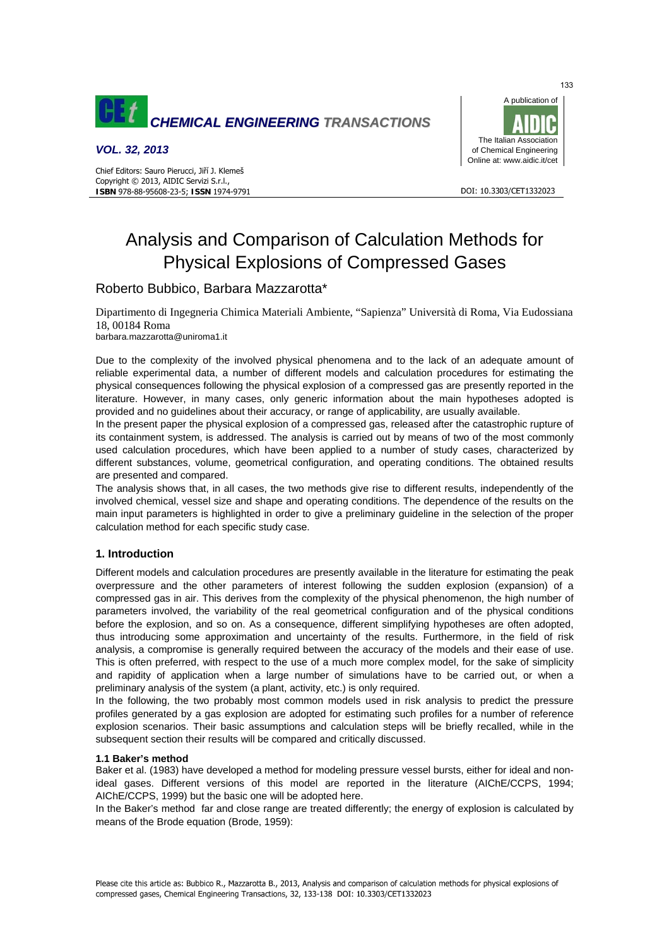

## *VOL. 32, 2013*

Chief Editors: Sauro Pierucci, Jiří J. Klemeš Copyright © 2013, AIDIC Servizi S.r.l., **ISBN** 978-88-95608-23-5; **ISSN** 1974-9791



#### DOI: 10.3303/CET1332023

# Analysis and Comparison of Calculation Methods for Physical Explosions of Compressed Gases

## Roberto Bubbico, Barbara Mazzarotta\*

Dipartimento di Ingegneria Chimica Materiali Ambiente, "Sapienza" Università di Roma, Via Eudossiana 18, 00184 Roma

barbara.mazzarotta@uniroma1.it

Due to the complexity of the involved physical phenomena and to the lack of an adequate amount of reliable experimental data, a number of different models and calculation procedures for estimating the physical consequences following the physical explosion of a compressed gas are presently reported in the literature. However, in many cases, only generic information about the main hypotheses adopted is provided and no guidelines about their accuracy, or range of applicability, are usually available.

In the present paper the physical explosion of a compressed gas, released after the catastrophic rupture of its containment system, is addressed. The analysis is carried out by means of two of the most commonly used calculation procedures, which have been applied to a number of study cases, characterized by different substances, volume, geometrical configuration, and operating conditions. The obtained results are presented and compared.

The analysis shows that, in all cases, the two methods give rise to different results, independently of the involved chemical, vessel size and shape and operating conditions. The dependence of the results on the main input parameters is highlighted in order to give a preliminary guideline in the selection of the proper calculation method for each specific study case.

#### **1. Introduction**

Different models and calculation procedures are presently available in the literature for estimating the peak overpressure and the other parameters of interest following the sudden explosion (expansion) of a compressed gas in air. This derives from the complexity of the physical phenomenon, the high number of parameters involved, the variability of the real geometrical configuration and of the physical conditions before the explosion, and so on. As a consequence, different simplifying hypotheses are often adopted, thus introducing some approximation and uncertainty of the results. Furthermore, in the field of risk analysis, a compromise is generally required between the accuracy of the models and their ease of use. This is often preferred, with respect to the use of a much more complex model, for the sake of simplicity and rapidity of application when a large number of simulations have to be carried out, or when a preliminary analysis of the system (a plant, activity, etc.) is only required.

In the following, the two probably most common models used in risk analysis to predict the pressure profiles generated by a gas explosion are adopted for estimating such profiles for a number of reference explosion scenarios. Their basic assumptions and calculation steps will be briefly recalled, while in the subsequent section their results will be compared and critically discussed.

#### **1.1 Baker's method**

Baker et al. (1983) have developed a method for modeling pressure vessel bursts, either for ideal and nonideal gases. Different versions of this model are reported in the literature (AIChE/CCPS, 1994; AIChE/CCPS, 1999) but the basic one will be adopted here.

In the Baker's method far and close range are treated differently; the energy of explosion is calculated by means of the Brode equation (Brode, 1959):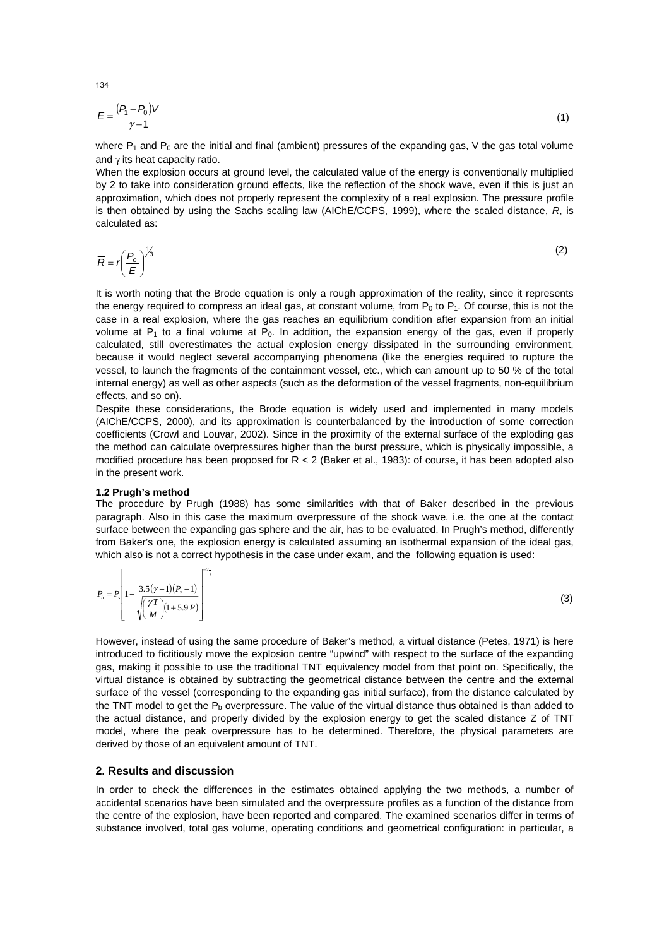$$
E = \frac{(P_1 - P_0)V}{\gamma - 1} \tag{1}
$$

where  $P_1$  and  $P_0$  are the initial and final (ambient) pressures of the expanding gas, V the gas total volume and γ its heat capacity ratio.

When the explosion occurs at ground level, the calculated value of the energy is conventionally multiplied by 2 to take into consideration ground effects, like the reflection of the shock wave, even if this is just an approximation, which does not properly represent the complexity of a real explosion. The pressure profile is then obtained by using the Sachs scaling law (AIChE/CCPS, 1999), where the scaled distance, *R*, is calculated as:

$$
\overline{R} = r \left(\frac{P_o}{E}\right)^{\frac{1}{3}} \tag{2}
$$

It is worth noting that the Brode equation is only a rough approximation of the reality, since it represents the energy required to compress an ideal gas, at constant volume, from  $P_0$  to  $P_1$ . Of course, this is not the case in a real explosion, where the gas reaches an equilibrium condition after expansion from an initial volume at  $P_1$  to a final volume at  $P_0$ . In addition, the expansion energy of the gas, even if properly calculated, still overestimates the actual explosion energy dissipated in the surrounding environment, because it would neglect several accompanying phenomena (like the energies required to rupture the vessel, to launch the fragments of the containment vessel, etc., which can amount up to 50 % of the total internal energy) as well as other aspects (such as the deformation of the vessel fragments, non-equilibrium effects, and so on).

Despite these considerations, the Brode equation is widely used and implemented in many models (AIChE/CCPS, 2000), and its approximation is counterbalanced by the introduction of some correction coefficients (Crowl and Louvar, 2002). Since in the proximity of the external surface of the exploding gas the method can calculate overpressures higher than the burst pressure, which is physically impossible, a modified procedure has been proposed for  $R < 2$  (Baker et al., 1983): of course, it has been adopted also in the present work.

#### **1.2 Prugh's method**

 $\mathbf{r}$ 

The procedure by Prugh (1988) has some similarities with that of Baker described in the previous paragraph. Also in this case the maximum overpressure of the shock wave, i.e. the one at the contact surface between the expanding gas sphere and the air, has to be evaluated. In Prugh's method, differently from Baker's one, the explosion energy is calculated assuming an isothermal expansion of the ideal gas, which also is not a correct hypothesis in the case under exam, and the following equation is used:

$$
P_b = P_s \left[ 1 - \frac{3.5(\gamma - 1)(P_s - 1)}{\sqrt{\left(\frac{\gamma T}{M}\right)(1 + 5.9 P)}} \right]^{-2} \tag{3}
$$

However, instead of using the same procedure of Baker's method, a virtual distance (Petes, 1971) is here introduced to fictitiously move the explosion centre "upwind" with respect to the surface of the expanding gas, making it possible to use the traditional TNT equivalency model from that point on. Specifically, the virtual distance is obtained by subtracting the geometrical distance between the centre and the external surface of the vessel (corresponding to the expanding gas initial surface), from the distance calculated by the TNT model to get the  $P_b$  overpressure. The value of the virtual distance thus obtained is than added to the actual distance, and properly divided by the explosion energy to get the scaled distance Z of TNT model, where the peak overpressure has to be determined. Therefore, the physical parameters are derived by those of an equivalent amount of TNT.

## **2. Results and discussion**

In order to check the differences in the estimates obtained applying the two methods, a number of accidental scenarios have been simulated and the overpressure profiles as a function of the distance from the centre of the explosion, have been reported and compared. The examined scenarios differ in terms of substance involved, total gas volume, operating conditions and geometrical configuration: in particular, a

134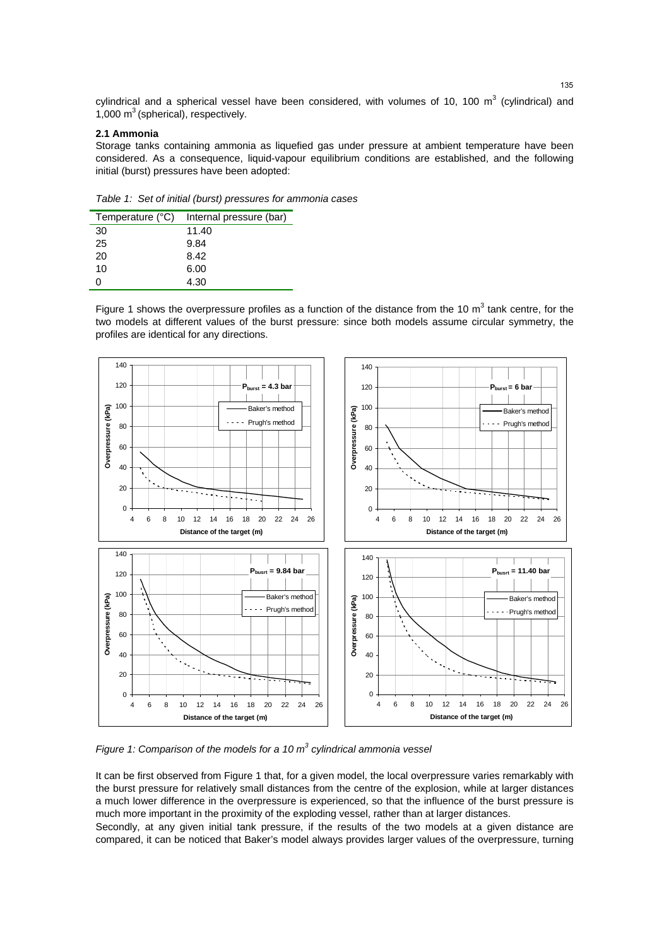cylindrical and a spherical vessel have been considered, with volumes of 10, 100  $m^3$  (cylindrical) and 1,000  $m<sup>3</sup>$  (spherical), respectively.

## **2.1 Ammonia**

Storage tanks containing ammonia as liquefied gas under pressure at ambient temperature have been considered. As a consequence, liquid-vapour equilibrium conditions are established, and the following initial (burst) pressures have been adopted:

*Table 1: Set of initial (burst) pressures for ammonia cases* 

| Temperature (°C) | Internal pressure (bar) |
|------------------|-------------------------|
| 30               | 11.40                   |
| 25               | 9.84                    |
| 20               | 8.42                    |
| 10               | 6.00                    |
|                  | 4.30                    |

Figure 1 shows the overpressure profiles as a function of the distance from the 10  $m^3$  tank centre, for the two models at different values of the burst pressure: since both models assume circular symmetry, the profiles are identical for any directions.



*Figure 1: Comparison of the models for a 10 m3 cylindrical ammonia vessel* 

It can be first observed from Figure 1 that, for a given model, the local overpressure varies remarkably with the burst pressure for relatively small distances from the centre of the explosion, while at larger distances a much lower difference in the overpressure is experienced, so that the influence of the burst pressure is much more important in the proximity of the exploding vessel, rather than at larger distances.

Secondly, at any given initial tank pressure, if the results of the two models at a given distance are compared, it can be noticed that Baker's model always provides larger values of the overpressure, turning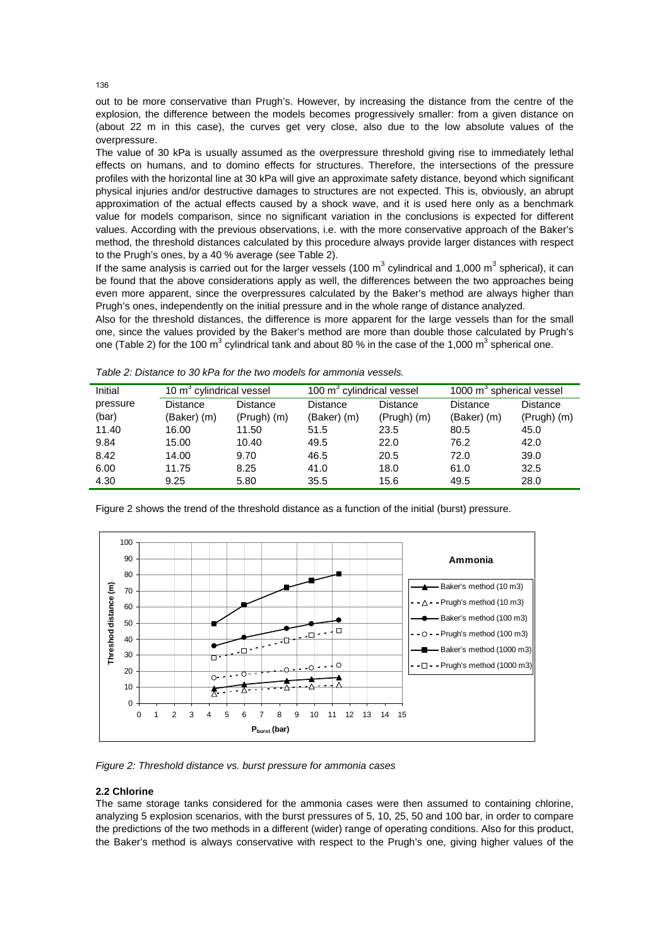out to be more conservative than Prugh's. However, by increasing the distance from the centre of the explosion, the difference between the models becomes progressively smaller: from a given distance on (about 22 m in this case), the curves get very close, also due to the low absolute values of the overpressure.

The value of 30 kPa is usually assumed as the overpressure threshold giving rise to immediately lethal effects on humans, and to domino effects for structures. Therefore, the intersections of the pressure profiles with the horizontal line at 30 kPa will give an approximate safety distance, beyond which significant physical injuries and/or destructive damages to structures are not expected. This is, obviously, an abrupt approximation of the actual effects caused by a shock wave, and it is used here only as a benchmark value for models comparison, since no significant variation in the conclusions is expected for different values. According with the previous observations, i.e. with the more conservative approach of the Baker's method, the threshold distances calculated by this procedure always provide larger distances with respect to the Prugh's ones, by a 40 % average (see Table 2).

If the same analysis is carried out for the larger vessels (100  $m^3$  cylindrical and 1,000  $m^3$  spherical), it can be found that the above considerations apply as well, the differences between the two approaches being even more apparent, since the overpressures calculated by the Baker's method are always higher than Prugh's ones, independently on the initial pressure and in the whole range of distance analyzed.

Also for the threshold distances, the difference is more apparent for the large vessels than for the small one, since the values provided by the Baker's method are more than double those calculated by Prugh's one (Table 2) for the 100 m<sup>3</sup> cylindrical tank and about 80 % in the case of the 1,000 m<sup>3</sup> spherical one.

| Initial  | 10 m <sup>3</sup> cylindrical vessel |                 | 100 m <sup>3</sup> cylindrical vessel |                 | 1000 $m3$ spherical vessel |                 |
|----------|--------------------------------------|-----------------|---------------------------------------|-----------------|----------------------------|-----------------|
| pressure | Distance                             | <b>Distance</b> | <b>Distance</b>                       | <b>Distance</b> | <b>Distance</b>            | <b>Distance</b> |
| (bar)    | (Baker) (m)                          | (Prugh) (m)     | (Baker) (m)                           | (Prugh) (m)     | (Baker) (m)                | $(Prugh)$ $(m)$ |
| 11.40    | 16.00                                | 11.50           | 51.5                                  | 23.5            | 80.5                       | 45.0            |
| 9.84     | 15.00                                | 10.40           | 49.5                                  | 22.0            | 76.2                       | 42.0            |
| 8.42     | 14.00                                | 9.70            | 46.5                                  | 20.5            | 72.0                       | 39.0            |
| 6.00     | 11.75                                | 8.25            | 41.0                                  | 18.0            | 61.0                       | 32.5            |
| 4.30     | 9.25                                 | 5.80            | 35.5                                  | 15.6            | 49.5                       | 28.0            |

*Table 2: Distance to 30 kPa for the two models for ammonia vessels.* 



Figure 2 shows the trend of the threshold distance as a function of the initial (burst) pressure.

*Figure 2: Threshold distance vs. burst pressure for ammonia cases* 

#### **2.2 Chlorine**

The same storage tanks considered for the ammonia cases were then assumed to containing chlorine, analyzing 5 explosion scenarios, with the burst pressures of 5, 10, 25, 50 and 100 bar, in order to compare the predictions of the two methods in a different (wider) range of operating conditions. Also for this product, the Baker's method is always conservative with respect to the Prugh's one, giving higher values of the

136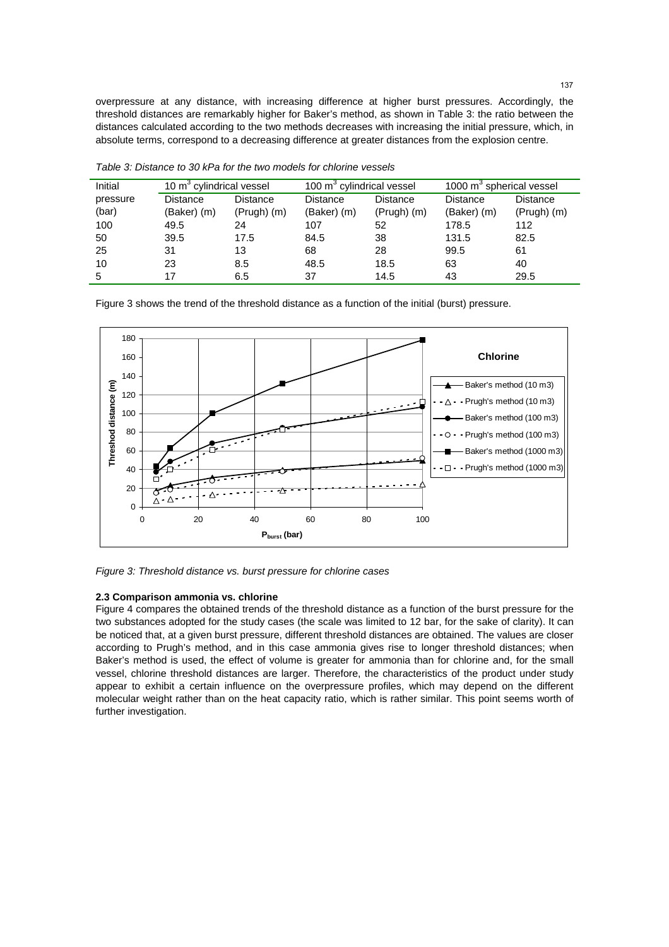overpressure at any distance, with increasing difference at higher burst pressures. Accordingly, the threshold distances are remarkably higher for Baker's method, as shown in Table 3: the ratio between the distances calculated according to the two methods decreases with increasing the initial pressure, which, in absolute terms, correspond to a decreasing difference at greater distances from the explosion centre.

| Initial  | 10 m <sup>3</sup> cylindrical vessel |                 | 100 m <sup>3</sup> cylindrical vessel |                 | 1000 m <sup>3</sup> spherical vessel |                 |
|----------|--------------------------------------|-----------------|---------------------------------------|-----------------|--------------------------------------|-----------------|
| pressure | <b>Distance</b>                      | <b>Distance</b> | <b>Distance</b>                       | <b>Distance</b> | <b>Distance</b>                      | <b>Distance</b> |
| (bar)    | (Baker) (m)                          | $(Prugh)$ $(m)$ | (Baker) (m)                           | $(Prugh)$ $(m)$ | (Baker) (m)                          | (Prugh) (m)     |
| 100      | 49.5                                 | 24              | 107                                   | 52              | 178.5                                | 112             |
| 50       | 39.5                                 | 17.5            | 84.5                                  | 38              | 131.5                                | 82.5            |
| 25       | 31                                   | 13              | 68                                    | 28              | 99.5                                 | 61              |
| 10       | 23                                   | 8.5             | 48.5                                  | 18.5            | 63                                   | 40              |
| 5        | 17                                   | 6.5             | 37                                    | 14.5            | 43                                   | 29.5            |

*Table 3: Distance to 30 kPa for the two models for chlorine vessels* 

Figure 3 shows the trend of the threshold distance as a function of the initial (burst) pressure.



*Figure 3: Threshold distance vs. burst pressure for chlorine cases* 

#### **2.3 Comparison ammonia vs. chlorine**

Figure 4 compares the obtained trends of the threshold distance as a function of the burst pressure for the two substances adopted for the study cases (the scale was limited to 12 bar, for the sake of clarity). It can be noticed that, at a given burst pressure, different threshold distances are obtained. The values are closer according to Prugh's method, and in this case ammonia gives rise to longer threshold distances; when Baker's method is used, the effect of volume is greater for ammonia than for chlorine and, for the small vessel, chlorine threshold distances are larger. Therefore, the characteristics of the product under study appear to exhibit a certain influence on the overpressure profiles, which may depend on the different molecular weight rather than on the heat capacity ratio, which is rather similar. This point seems worth of further investigation.